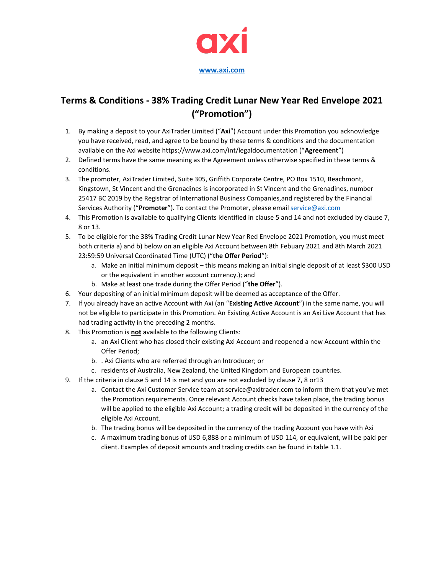

## **Terms & Conditions - 38% Trading Credit Lunar New Year Red Envelope 2021 ("Promotion")**

- 1. By making a deposit to your AxiTrader Limited ("**Axi**") Account under this Promotion you acknowledge you have received, read, and agree to be bound by these terms & conditions and the documentation available on the Axi website https://www.axi.com/int/legaldocumentation ("**Agreement**")
- 2. Defined terms have the same meaning as the Agreement unless otherwise specified in these terms & conditions.
- 3. The promoter, AxiTrader Limited, Suite 305, Griffith Corporate Centre, PO Box 1510, Beachmont, Kingstown, St Vincent and the Grenadines is incorporated in St Vincent and the Grenadines, number 25417 BC 2019 by the Registrar of International Business Companies,and registered by the Financial Services Authority ("**Promoter**"). To contact the Promoter, please email [service@axi.com](mailto:service@axi.com)
- 4. This Promotion is available to qualifying Clients identified in clause 5 and 14 and not excluded by clause 7, 8 or 13.
- 5. To be eligible for the 38% Trading Credit Lunar New Year Red Envelope 2021 Promotion, you must meet both criteria a) and b) below on an eligible Axi Account between 8th Febuary 2021 and 8th March 2021 23:59:59 Universal Coordinated Time (UTC) ("**the Offer Period**"):
	- a. Make an initial minimum deposit this means making an initial single deposit of at least \$300 USD or the equivalent in another account currency.); and
	- b. Make at least one trade during the Offer Period ("**the Offer**").
- 6. Your depositing of an initial minimum deposit will be deemed as acceptance of the Offer.
- 7. If you already have an active Account with Axi (an "**Existing Active Account**") in the same name, you will not be eligible to participate in this Promotion. An Existing Active Account is an Axi Live Account that has had trading activity in the preceding 2 months.
- 8. This Promotion is **not** available to the following Clients:
	- a. an Axi Client who has closed their existing Axi Account and reopened a new Account within the Offer Period;
	- b. . Axi Clients who are referred through an Introducer; or
	- c. residents of Australia, New Zealand, the United Kingdom and European countries.
- 9. If the criteria in clause 5 and 14 is met and you are not excluded by clause 7, 8 or13
	- a. Contact the Axi Customer Service team at service@axitrader.com to inform them that you've met the Promotion requirements. Once relevant Account checks have taken place, the trading bonus will be applied to the eligible Axi Account; a trading credit will be deposited in the currency of the eligible Axi Account.
	- b. The trading bonus will be deposited in the currency of the trading Account you have with Axi
	- c. A maximum trading bonus of USD 6,888 or a minimum of USD 114, or equivalent, will be paid per client. Examples of deposit amounts and trading credits can be found in table 1.1.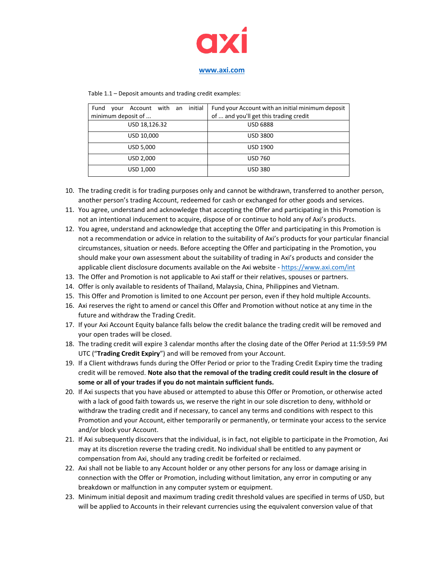

| initial<br>Account with an<br>Fund<br>vour | Fund your Account with an initial minimum deposit |
|--------------------------------------------|---------------------------------------------------|
| minimum deposit of                         | of  and you'll get this trading credit            |
| USD 18,126.32                              | <b>USD 6888</b>                                   |
| USD 10,000                                 | <b>USD 3800</b>                                   |
| USD 5,000                                  | <b>USD 1900</b>                                   |
| USD 2,000                                  | <b>USD 760</b>                                    |
| USD 1,000                                  | <b>USD 380</b>                                    |

Table 1.1 – Deposit amounts and trading credit examples:

- 10. The trading credit is for trading purposes only and cannot be withdrawn, transferred to another person, another person's trading Account, redeemed for cash or exchanged for other goods and services.
- 11. You agree, understand and acknowledge that accepting the Offer and participating in this Promotion is not an intentional inducement to acquire, dispose of or continue to hold any of Axi's products.
- 12. You agree, understand and acknowledge that accepting the Offer and participating in this Promotion is not a recommendation or advice in relation to the suitability of Axi's products for your particular financial circumstances, situation or needs. Before accepting the Offer and participating in the Promotion, you should make your own assessment about the suitability of trading in Axi's products and consider the applicable client disclosure documents available on the Axi website - <https://www.axi.com/int>
- 13. The Offer and Promotion is not applicable to Axi staff or their relatives, spouses or partners.
- 14. Offer is only available to residents of Thailand, Malaysia, China, Philippines and Vietnam.
- 15. This Offer and Promotion is limited to one Account per person, even if they hold multiple Accounts.
- 16. Axi reserves the right to amend or cancel this Offer and Promotion without notice at any time in the future and withdraw the Trading Credit.
- 17. If your Axi Account Equity balance falls below the credit balance the trading credit will be removed and your open trades will be closed.
- 18. The trading credit will expire 3 calendar months after the closing date of the Offer Period at 11:59:59 PM UTC ("**Trading Credit Expiry**") and will be removed from your Account.
- 19. If a Client withdraws funds during the Offer Period or prior to the Trading Credit Expiry time the trading credit will be removed. **Note also that the removal of the trading credit could result in the closure of some or all of your trades if you do not maintain sufficient funds.**
- 20. If Axi suspects that you have abused or attempted to abuse this Offer or Promotion, or otherwise acted with a lack of good faith towards us, we reserve the right in our sole discretion to deny, withhold or withdraw the trading credit and if necessary, to cancel any terms and conditions with respect to this Promotion and your Account, either temporarily or permanently, or terminate your access to the service and/or block your Account.
- 21. If Axi subsequently discovers that the individual, is in fact, not eligible to participate in the Promotion, Axi may at its discretion reverse the trading credit. No individual shall be entitled to any payment or compensation from Axi, should any trading credit be forfeited or reclaimed.
- 22. Axi shall not be liable to any Account holder or any other persons for any loss or damage arising in connection with the Offer or Promotion, including without limitation, any error in computing or any breakdown or malfunction in any computer system or equipment.
- 23. Minimum initial deposit and maximum trading credit threshold values are specified in terms of USD, but will be applied to Accounts in their relevant currencies using the equivalent conversion value of that